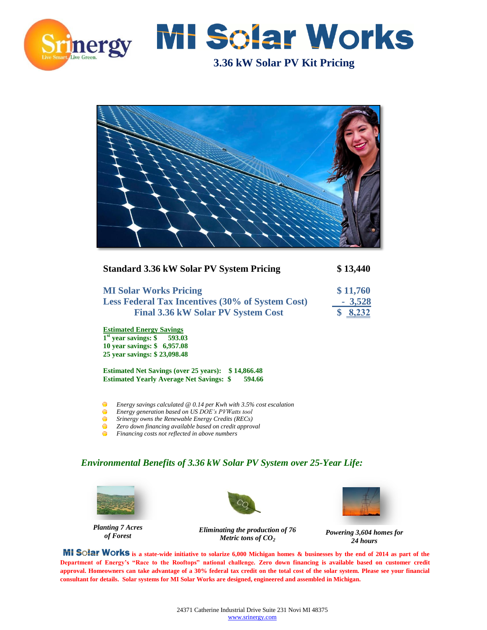



**3.36 kW Solar PV Kit Pricing** 



| <b>Standard 3.36 kW Solar PV System Pricing</b>               | \$13,440 |
|---------------------------------------------------------------|----------|
| <b>MI Solar Works Pricing</b>                                 | \$11,760 |
| <b>Less Federal Tax Incentives (30% of System Cost)</b>       | $-3,528$ |
| <b>Final 3.36 kW Solar PV System Cost</b>                     | 8,232    |
| <b>Estimated Energy Savings</b>                               |          |
| $1st$ year savings: \$ 593.03<br>10 year savings: \$ 6,957.08 |          |
| 25 year savings: \$23,098.48                                  |          |
| \$14,866.48<br><b>Estimated Net Savings (over 25 years):</b>  |          |
| <b>Estimated Yearly Average Net Savings: \$</b><br>594.66     |          |

*Energy savings calculated @ 0.14 per Kwh with 3.5% cost escalation*

- $\bullet$ *Energy generation based on US DOE's PVWatts tool*
- $\bullet$ *Srinergy owns the Renewable Energy Credits (RECs)*
- $\bullet$ *Zero down financing available based on credit approval* ō
	- *Financing costs not reflected in above numbers*

#### *Environmental Benefits of 3.36 kW Solar PV System over 25-Year Life:*



*Planting 7 Acres of Forest*

*Eliminating the production of 76 Metric tons of CO<sup>2</sup>*



*Powering 3,604 homes for 24 hours* 

 **MI Solar Works** is a state-wide initiative to solarize 6,000 Michigan homes & businesses by the end of 2014 as part of the **Department of Energy's "Race to the Rooftops" national challenge. Zero down financing is available based on customer credit approval. Homeowners can take advantage of a 30% federal tax credit on the total cost of the solar system. Please see your financial consultant for details. Solar systems for MI Solar Works are designed, engineered and assembled in Michigan.**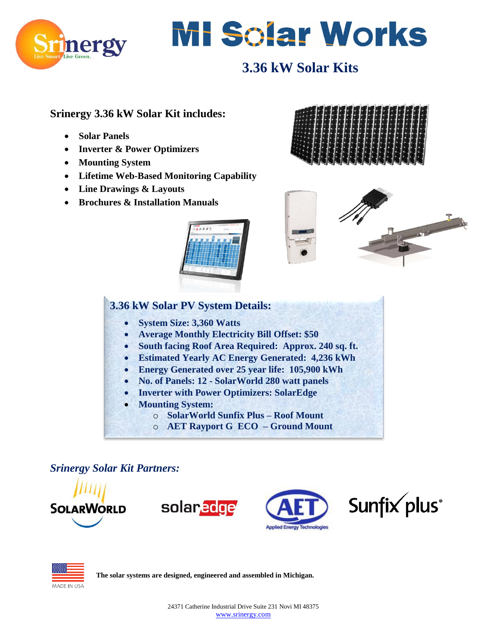



# **3.36 kW Solar Kits**

### **Srinergy 3.36 kW Solar Kit includes:**

- **Solar Panels**
- **Inverter & Power Optimizers**
- **Mounting System**
- **Lifetime Web-Based Monitoring Capability**
- **Line Drawings & Layouts**
- **Brochures & Installation Manuals**







## **3.36 kW Solar PV System Details:**

- **System Size: 3,360 Watts**
- **Average Monthly Electricity Bill Offset: \$50**
- **South facing Roof Area Required: Approx. 240 sq. ft.**
- **Estimated Yearly AC Energy Generated: 4,236 kWh**
- **Energy Generated over 25 year life: 105,900 kWh**
- **No. of Panels: 12 - SolarWorld 280 watt panels**
- **Inverter with Power Optimizers: SolarEdge**
- **Mounting System:** 
	- o **SolarWorld Sunfix Plus – Roof Mount**
	- o **AET Rayport G ECO – Ground Mount**

*Srinergy Solar Kit Partners:*





**The solar systems are designed, engineered and assembled in Michigan.**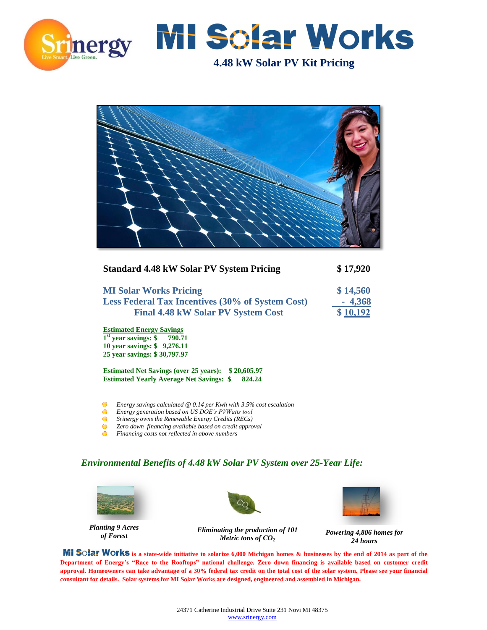



**4.48 kW Solar PV Kit Pricing** 



| <b>Standard 4.48 kW Solar PV System Pricing</b>                                                                                 | \$17,920 |
|---------------------------------------------------------------------------------------------------------------------------------|----------|
| <b>MI Solar Works Pricing</b>                                                                                                   | \$14,560 |
| <b>Less Federal Tax Incentives (30% of System Cost)</b>                                                                         | $-4,368$ |
| <b>Final 4.48 kW Solar PV System Cost</b>                                                                                       | \$10,192 |
| <b>Estimated Energy Savings</b><br>$1st$ year savings: \$ 790.71<br>10 year savings: \$9,276.11<br>25 year savings: \$30,797.97 |          |
| <b>Estimated Net Savings (over 25 years):</b><br>\$20,605.97                                                                    |          |

*Energy savings calculated @ 0.14 per Kwh with 3.5% cost escalation*

 $\bullet$ *Energy generation based on US DOE's PVWatts tool*

**Estimated Yearly Average Net Savings: \$ 824.24**

- $\bullet$ *Srinergy owns the Renewable Energy Credits (RECs)*
- $\bullet$ *Zero down financing available based on credit approval*
- $\bullet$ *Financing costs not reflected in above numbers*

#### *Environmental Benefits of 4.48 kW Solar PV System over 25-Year Life:*



*Planting 9 Acres of Forest*





*Powering 4,806 homes for 24 hours* 

**MI SOLAT WOTKS** is a state-wide initiative to solarize 6,000 Michigan homes & businesses by the end of 2014 as part of the **Department of Energy's "Race to the Rooftops" national challenge. Zero down financing is available based on customer credit approval. Homeowners can take advantage of a 30% federal tax credit on the total cost of the solar system. Please see your financial consultant for details. Solar systems for MI Solar Works are designed, engineered and assembled in Michigan.**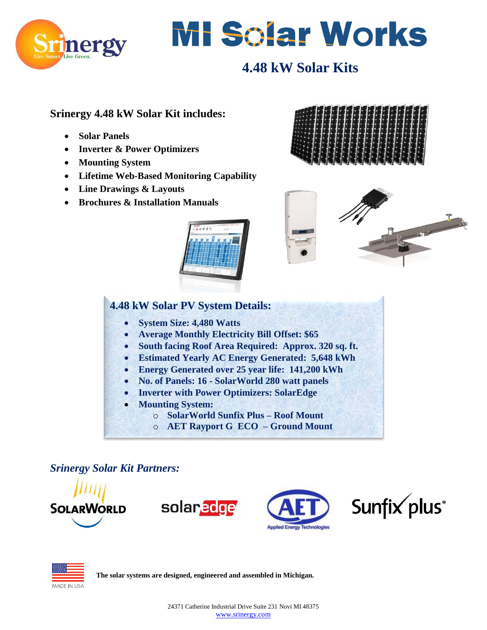



# **4.48 kW Solar Kits**

### **Srinergy 4.48 kW Solar Kit includes:**

- **Solar Panels**
- **Inverter & Power Optimizers**
- **Mounting System**
- **Lifetime Web-Based Monitoring Capability**
- **Line Drawings & Layouts**
- **Brochures & Installation Manuals**







## **4.48 kW Solar PV System Details:**

- **System Size: 4,480 Watts**
- **Average Monthly Electricity Bill Offset: \$65**
- **South facing Roof Area Required: Approx. 320 sq. ft.**
- **Estimated Yearly AC Energy Generated: 5,648 kWh**
- **Energy Generated over 25 year life: 141,200 kWh**
- **No. of Panels: 16 - SolarWorld 280 watt panels**
- **Inverter with Power Optimizers: SolarEdge**
- **Mounting System:** 
	- o **SolarWorld Sunfix Plus – Roof Mount**
	- o **AET Rayport G ECO – Ground Mount**

*Srinergy Solar Kit Partners:*





**The solar systems are designed, engineered and assembled in Michigan.**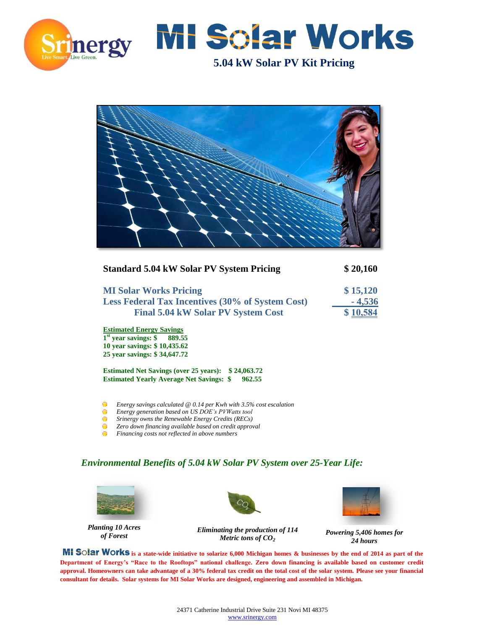



**5.04 kW Solar PV Kit Pricing** 

| HH |  |
|----|--|
|    |  |
|    |  |
|    |  |
|    |  |

| <b>Standard 5.04 kW Solar PV System Pricing</b>              | \$20,160 |
|--------------------------------------------------------------|----------|
| <b>MI Solar Works Pricing</b>                                | \$15,120 |
| <b>Less Federal Tax Incentives (30% of System Cost)</b>      | $-4,536$ |
| <b>Final 5.04 kW Solar PV System Cost</b>                    | \$10,584 |
| <b>Estimated Energy Savings</b>                              |          |
| $1st$ year savings: \$<br>889.55                             |          |
| 10 year savings: \$10,435.62                                 |          |
| 25 year savings: \$34,647.72                                 |          |
| <b>Estimated Net Savings (over 25 years):</b><br>\$24,063,72 |          |
| 962.55<br><b>Estimated Yearly Average Net Savings: \$</b>    |          |

- *Energy savings calculated @ 0.14 per Kwh with 3.5% cost escalation*  $\bullet$ *Energy generation based on US DOE's PVWatts tool*
- $\bullet$ *Srinergy owns the Renewable Energy Credits (RECs)*
- $\bullet$ *Zero down financing available based on credit approval*
- $\bullet$ *Financing costs not reflected in above numbers*

#### *Environmental Benefits of 5.04 kW Solar PV System over 25-Year Life:*



*Planting 10 Acres of Forest*





*Powering 5,406 homes for 24 hours* 

**MI SOIAT WOTKS** is a state-wide initiative to solarize 6,000 Michigan homes & businesses by the end of 2014 as part of the **Department of Energy's "Race to the Rooftops" national challenge. Zero down financing is available based on customer credit approval. Homeowners can take advantage of a 30% federal tax credit on the total cost of the solar system. Please see your financial consultant for details. Solar systems for MI Solar Works are designed, engineering and assembled in Michigan.**